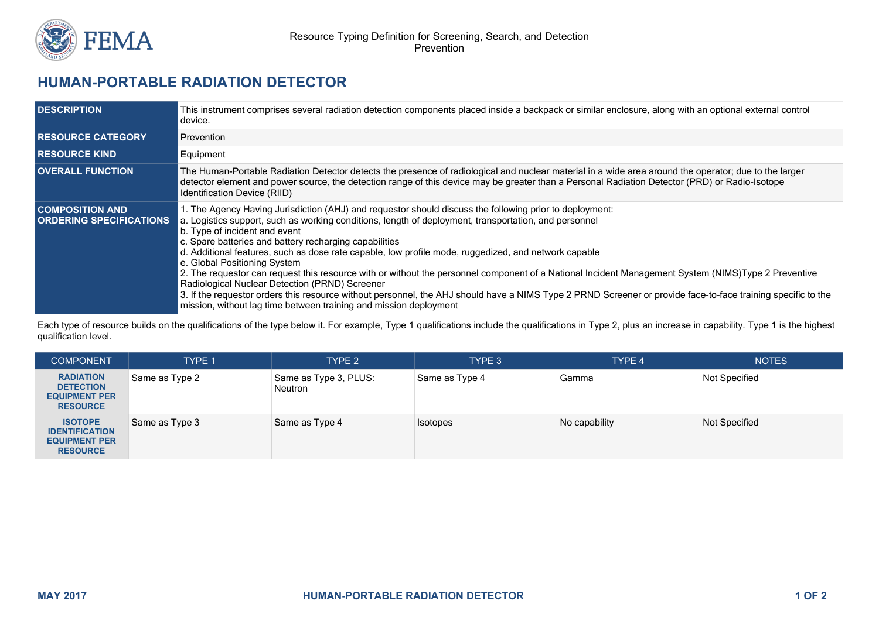

## **HUMAN-PORTABLE RADIATION DETECTOR**

| <b>DESCRIPTION</b>                                       | This instrument comprises several radiation detection components placed inside a backpack or similar enclosure, along with an optional external control<br>device.                                                                                                                                                                                                                                                                                                                                                                                                                                                                                                                                                                                                                                                                                                                                |
|----------------------------------------------------------|---------------------------------------------------------------------------------------------------------------------------------------------------------------------------------------------------------------------------------------------------------------------------------------------------------------------------------------------------------------------------------------------------------------------------------------------------------------------------------------------------------------------------------------------------------------------------------------------------------------------------------------------------------------------------------------------------------------------------------------------------------------------------------------------------------------------------------------------------------------------------------------------------|
| <b>RESOURCE CATEGORY</b>                                 | Prevention                                                                                                                                                                                                                                                                                                                                                                                                                                                                                                                                                                                                                                                                                                                                                                                                                                                                                        |
| <b>RESOURCE KIND</b>                                     | Equipment                                                                                                                                                                                                                                                                                                                                                                                                                                                                                                                                                                                                                                                                                                                                                                                                                                                                                         |
| <b>OVERALL FUNCTION</b>                                  | The Human-Portable Radiation Detector detects the presence of radiological and nuclear material in a wide area around the operator; due to the larger<br>detector element and power source, the detection range of this device may be greater than a Personal Radiation Detector (PRD) or Radio-Isotope<br>Identification Device (RIID)                                                                                                                                                                                                                                                                                                                                                                                                                                                                                                                                                           |
| <b>COMPOSITION AND</b><br><b>ORDERING SPECIFICATIONS</b> | 1. The Agency Having Jurisdiction (AHJ) and requestor should discuss the following prior to deployment:<br>a. Logistics support, such as working conditions, length of deployment, transportation, and personnel<br>b. Type of incident and event<br>c. Spare batteries and battery recharging capabilities<br>d. Additional features, such as dose rate capable, low profile mode, ruggedized, and network capable<br>e. Global Positioning System<br>2. The requestor can request this resource with or without the personnel component of a National Incident Management System (NIMS)Type 2 Preventive<br>Radiological Nuclear Detection (PRND) Screener<br>3. If the requestor orders this resource without personnel, the AHJ should have a NIMS Type 2 PRND Screener or provide face-to-face training specific to the<br>mission, without lag time between training and mission deployment |

Each type of resource builds on the qualifications of the type below it. For example, Type 1 qualifications include the qualifications in Type 2, plus an increase in capability. Type 1 is the highest qualification level.

| <b>COMPONENT</b>                                                                   | <b>TYPE 1</b>  | TYPE <sub>2</sub>                | TYPE 3          | TYPE 4        | <b>NOTES</b>  |
|------------------------------------------------------------------------------------|----------------|----------------------------------|-----------------|---------------|---------------|
| <b>RADIATION</b><br><b>DETECTION</b><br><b>EQUIPMENT PER</b><br><b>RESOURCE</b>    | Same as Type 2 | Same as Type 3, PLUS:<br>Neutron | Same as Type 4  | Gamma         | Not Specified |
| <b>ISOTOPE</b><br><b>IDENTIFICATION</b><br><b>EQUIPMENT PER</b><br><b>RESOURCE</b> | Same as Type 3 | Same as Type 4                   | <b>Isotopes</b> | No capability | Not Specified |